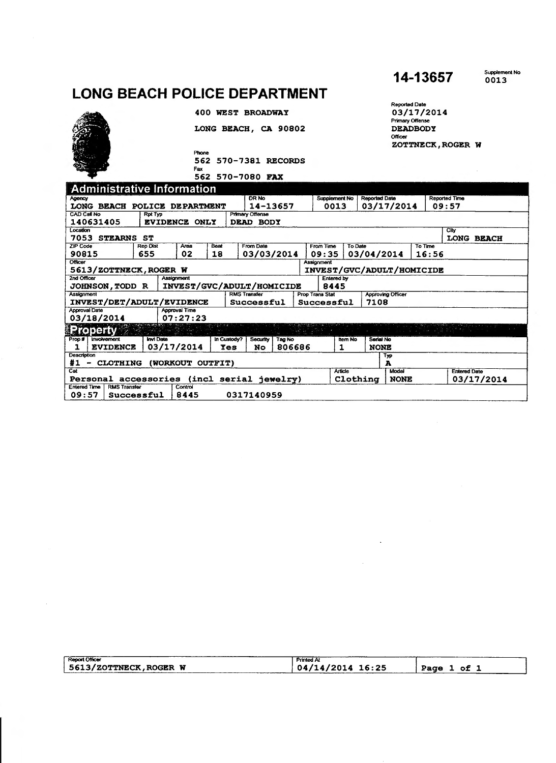## **LONG BEACH POLICE DEPARTMENT**



LONG BEACH, CA 90802

400 WEST BROADWAY

Phone 562 570-7381 RECORDS

562 570-7080 FAX

**14-13657** 

Supplement No 0013

Repofled Date 03/17/2014 Primary Offense **DEADBODY** Officer<br>ZOTTNECK,ROGER W

| <b>Administrative Information</b>                       |                 |                      |                |                                  |                      |           |                       |                                                    |                                       |       |         |                     |  |  |
|---------------------------------------------------------|-----------------|----------------------|----------------|----------------------------------|----------------------|-----------|-----------------------|----------------------------------------------------|---------------------------------------|-------|---------|---------------------|--|--|
| Agency                                                  |                 | <b>DR No</b>         |                |                                  | <b>Supplement No</b> |           | <b>Reported Date</b>  |                                                    | <b>Reported Time</b>                  |       |         |                     |  |  |
| <b>LONG</b><br><b>BEACH</b>                             | <b>POLICE</b>   | <b>DEPARTMENT</b>    |                | 14-13657                         |                      |           | 0013                  |                                                    | 03/17/2014                            |       | 09:57   |                     |  |  |
| <b>CAD Call No</b>                                      | <b>Rpt Typ</b>  |                      |                | <b>Primary Offense</b>           |                      |           |                       |                                                    |                                       |       |         |                     |  |  |
| 140631405                                               | EVIDENCE ONLY   |                      |                | DEAD BODY                        |                      |           |                       |                                                    |                                       |       |         |                     |  |  |
| Location                                                |                 |                      |                |                                  |                      |           |                       |                                                    |                                       |       |         | City                |  |  |
| 7053<br><b>STEARNS</b><br>ST<br><b>LONG BEACH</b>       |                 |                      |                |                                  |                      |           |                       |                                                    |                                       |       |         |                     |  |  |
| <b>ZIP Code</b>                                         | <b>Rep Dist</b> | Area                 | Beat           | From Date                        |                      | From Time |                       | <b>To Date</b>                                     |                                       |       | To Time |                     |  |  |
| 90815                                                   | 655             | 02                   | 18             | 03/03/2014                       |                      |           | 09:35                 |                                                    | 03/04/2014                            |       | 16:56   |                     |  |  |
| <b>Officer</b><br>Assignment                            |                 |                      |                |                                  |                      |           |                       |                                                    |                                       |       |         |                     |  |  |
| 5613/ZOTTNECK, ROGER W                                  |                 |                      |                | INVEST/GVC/ADULT/HOMICIDE        |                      |           |                       |                                                    |                                       |       |         |                     |  |  |
| 2nd Officer<br>Assignment<br><b>Entered by</b>          |                 |                      |                |                                  |                      |           |                       |                                                    |                                       |       |         |                     |  |  |
| <b>JOHNSON, TODD R</b>                                  |                 |                      |                | INVEST/GVC/ADULT/HOMICIDE        |                      |           | 8445                  |                                                    |                                       |       |         |                     |  |  |
| <b>RMS Transfer</b><br>Assignment                       |                 |                      |                |                                  |                      |           |                       | <b>Approving Officer</b><br><b>Prop Trans Stat</b> |                                       |       |         |                     |  |  |
| INVEST/DET/ADULT/EVIDENCE                               |                 | Successful           |                | 7108<br>Successful               |                      |           |                       |                                                    |                                       |       |         |                     |  |  |
| <b>Approval Date</b>                                    |                 | <b>Approval Time</b> |                |                                  |                      |           |                       |                                                    |                                       |       |         |                     |  |  |
| 03/18/2014                                              |                 | 07:27:23             |                |                                  |                      |           |                       |                                                    |                                       |       |         |                     |  |  |
| <b>Property</b>                                         |                 |                      |                |                                  |                      |           |                       |                                                    |                                       |       |         |                     |  |  |
| <b>Invi</b> Date<br>Prop #<br><i><b>Involvement</b></i> |                 |                      | In Custody?    | Security<br>Tag No               |                      |           | Serial No.<br>Item No |                                                    |                                       |       |         |                     |  |  |
| <b>EVIDENCE</b>                                         | 03/17/2014      |                      | <b>Yes</b>     | 806686<br>No<br>1<br><b>NONE</b> |                      |           |                       |                                                    |                                       |       |         |                     |  |  |
| Description                                             |                 |                      |                |                                  |                      |           |                       |                                                    |                                       | Typ   |         |                     |  |  |
| #1<br><b>CLOTHING</b><br>-                              | <b>(WORKOUT</b> |                      | <b>OUTFIT)</b> |                                  |                      |           |                       |                                                    |                                       | A     |         |                     |  |  |
| Cat                                                     |                 |                      |                |                                  |                      |           | <b>Article</b>        |                                                    |                                       | Model |         | <b>Entered Date</b> |  |  |
| Personal accessories (incl serial jewelry)              |                 |                      |                |                                  |                      |           |                       |                                                    | 03/17/2014<br>Clothing<br><b>NONE</b> |       |         |                     |  |  |
| <b>RMS Transfer</b><br><b>Entered Time</b>              |                 | Control              |                |                                  |                      |           |                       |                                                    |                                       |       |         |                     |  |  |
| 09:57<br>Successful                                     |                 | 8445                 |                | 0317140959                       |                      |           |                       |                                                    |                                       |       |         |                     |  |  |

| __________<br><b>Report Officer</b> | ______<br><b>Printed At</b> |                                  |
|-------------------------------------|-----------------------------|----------------------------------|
| 5613/ZOTTNECK, ROGER W              | 04/14/2014 16:25            | . of<br>Pace<br>________________ |
|                                     |                             |                                  |